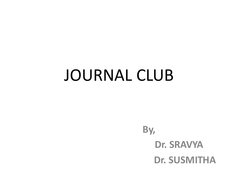# JOURNAL CLUB

**By, Dr. SRAVYA Dr. SUSMITHA**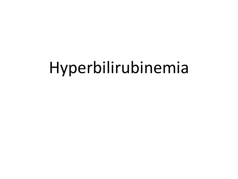# Hyperbilirubinemia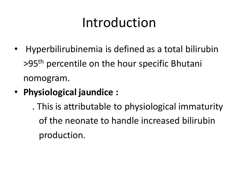# Introduction

- Hyperbilirubinemia is defined as a total bilirubin >95th percentile on the hour specific Bhutani nomogram.
- **Physiological jaundice :** 
	- . This is attributable to physiological immaturity of the neonate to handle increased bilirubin production.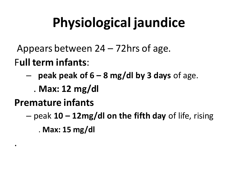# **Physiological jaundice**

- Appears between 24 72hrs of age.
- F**ull term infants**:
	- **peak peak of 6 – 8 mg/dl by 3 days** of age.
		- . **Max: 12 mg/dl**
- **Premature infants**

.

– peak **10 – 12mg/dl on the fifth day** of life, rising . **Max: 15 mg/dl**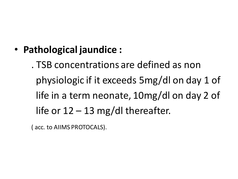• **Pathological jaundice :** 

. TSB concentrations are defined as non physiologic if it exceeds 5mg/dl on day 1 of life in a term neonate, 10mg/dl on day 2 of life or  $12 - 13$  mg/dl thereafter.

( acc. to AIIMS PROTOCALS).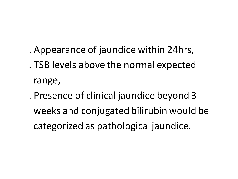- . Appearance of jaundice within 24hrs,
- . TSB levels above the normal expected range,
- . Presence of clinical jaundice beyond 3 weeks and conjugated bilirubin would be categorized as pathological jaundice.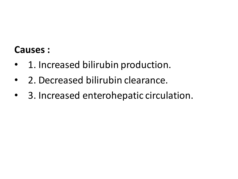### **Causes :**

- 1. Increased bilirubin production.
- 2. Decreased bilirubin clearance.
- 3. Increased enterohepatic circulation.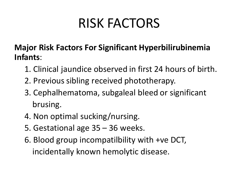# RISK FACTORS

### **Major Risk Factors For Significant Hyperbilirubinemia Infants**:

- 1. Clinical jaundice observed in first 24 hours of birth.
- 2. Previous sibling received phototherapy.
- 3. Cephalhematoma, subgaleal bleed or significant brusing.
- 4. Non optimal sucking/nursing.
- 5. Gestational age 35 36 weeks.
- 6. Blood group incompatilbility with +ve DCT, incidentally known hemolytic disease.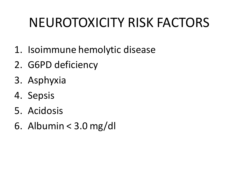# NEUROTOXICITY RISK FACTORS

- 1. Isoimmune hemolytic disease
- 2. G6PD deficiency
- 3. Asphyxia
- 4. Sepsis
- 5. Acidosis
- 6. Albumin < 3.0 mg/dl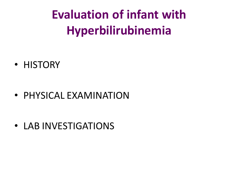**Evaluation of infant with Hyperbilirubinemia**

• HISTORY

• PHYSICAL EXAMINATION

• LAB INVESTIGATIONS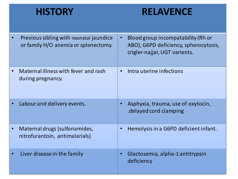### **HISTORY RELAVENCE**

| Previous sibling with neonatal jaundice<br>or family H/O anemia or splenectomy. |           | Blood group incompatability (Rh or<br>ABO), G6PD deficiency, spherocytosis,<br>crigler-najjar, UGT varients. |
|---------------------------------------------------------------------------------|-----------|--------------------------------------------------------------------------------------------------------------|
| Maternal illness with fever and rash<br>during pregnancy.                       | $\bullet$ | Intra uterine infections                                                                                     |
| Labour and delivery events.                                                     | $\bullet$ | Asphyxia, trauma, use of oxytocin,<br>delayed cord clamping.                                                 |
| Maternal drugs (sulfonamides,<br>nitrofurantoin, antimalarials)                 | $\bullet$ | Hemolysis in a G6PD deficient infant.                                                                        |
| Liver disease in the family                                                     | $\bullet$ | Glactosemia, alpha-1 antitrypsin<br>deficiency                                                               |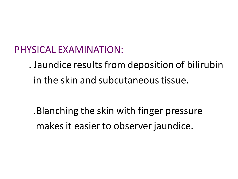PHYSICAL EXAMINATION:

. Jaundice results from deposition of bilirubin in the skin and subcutaneous tissue.

.Blanching the skin with finger pressure makes it easier to observer jaundice.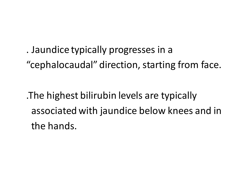. Jaundice typically progresses in a "cephalocaudal" direction, starting from face.

.The highest bilirubin levels are typically associated with jaundice below knees and in the hands.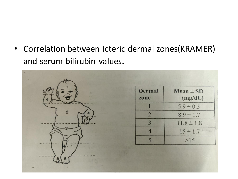• Correlation between icteric dermal zones(KRAMER) and serum bilirubin values.

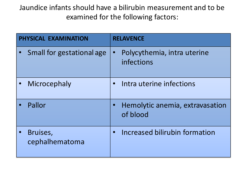Jaundice infants should have a bilirubin measurement and to be examined for the following factors:

| PHYSICAL EXAMINATION       | <b>RELAVENCE</b>                            |  |
|----------------------------|---------------------------------------------|--|
| Small for gestational age  | Polycythemia, intra uterine<br>infections   |  |
| Microcephaly               | Intra uterine infections                    |  |
| Pallor                     | Hemolytic anemia, extravasation<br>of blood |  |
| Bruises,<br>cephalhematoma | Increased bilirubin formation               |  |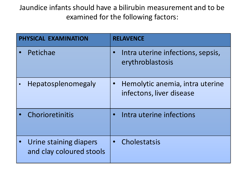Jaundice infants should have a bilirubin measurement and to be examined for the following factors:

| PHYSICAL EXAMINATION |                                                    | <b>RELAVENCE</b> |                                                             |  |
|----------------------|----------------------------------------------------|------------------|-------------------------------------------------------------|--|
| Petichae             |                                                    |                  | Intra uterine infections, sepsis,<br>erythroblastosis       |  |
|                      | <b>Hepatosplenomegaly</b>                          |                  | Hemolytic anemia, intra uterine<br>infectons, liver disease |  |
|                      | Chorioretinitis                                    |                  | Intra uterine infections                                    |  |
|                      | Urine staining diapers<br>and clay coloured stools |                  | Cholestatsis                                                |  |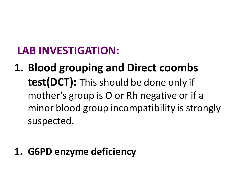## **LAB INVESTIGATION:**

**1. Blood grouping and Direct coombs test(DCT):** This should be done only if mother's group is O or Rh negative or if a minor blood group incompatibility is strongly suspected.

## **1. G6PD enzyme deficiency**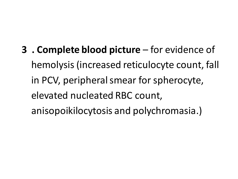**3 . Complete blood picture** – for evidence of hemolysis (increased reticulocyte count, fall in PCV, peripheral smear for spherocyte, elevated nucleated RBC count, anisopoikilocytosis and polychromasia.)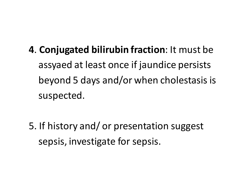**4**. **Conjugated bilirubin fraction**: It must be assyaed at least once if jaundice persists beyond 5 days and/or when cholestasis is suspected.

5. If history and/ or presentation suggest sepsis, investigate for sepsis.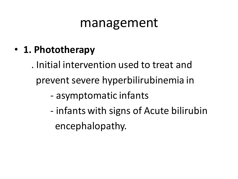## management

• **1. Phototherapy** 

. Initial intervention used to treat and prevent severe hyperbilirubinemia in

- asymptomatic infants
- infants with signs of Acute bilirubin encephalopathy.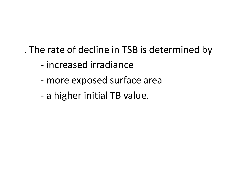. The rate of decline in TSB is determined by

- increased irradiance
- more exposed surface area
- a higher initial TB value.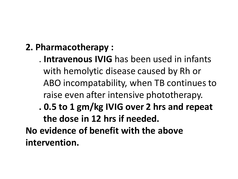- **2. Pharmacotherapy :**
	- . **Intravenous IVIG** has been used in infants with hemolytic disease caused by Rh or ABO incompatability, when TB continues to raise even after intensive phototherapy.
	- **. 0.5 to 1 gm/kg IVIG over 2 hrs and repeat the dose in 12 hrs if needed.**

**No evidence of benefit with the above intervention.**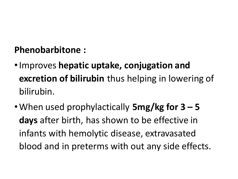## **Phenobarbitone :**

- •Improves **hepatic uptake, conjugation and excretion of bilirubin** thus helping in lowering of bilirubin.
- •When used prophylactically **5mg/kg for 3 – 5 days** after birth, has shown to be effective in infants with hemolytic disease, extravasated blood and in preterms with out any side effects.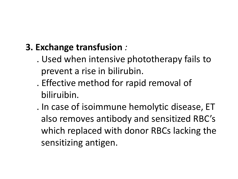## **3. Exchange transfusion** *:*

- . Used when intensive phototherapy fails to prevent a rise in bilirubin.
- . Effective method for rapid removal of biliruibin.
- . In case of isoimmune hemolytic disease, ET also removes antibody and sensitized RBC's which replaced with donor RBCs lacking the sensitizing antigen.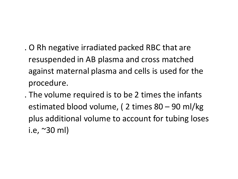- . O Rh negative irradiated packed RBC that are resuspended in AB plasma and cross matched against maternal plasma and cells is used for the procedure.
- . The volume required is to be 2 times the infants estimated blood volume, ( 2 times 80 – 90 ml/kg plus additional volume to account for tubing loses i.e, ~30 ml)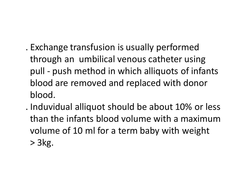- . Exchange transfusion is usually performed through an umbilical venous catheter using pull - push method in which alliquots of infants blood are removed and replaced with donor blood.
- . Induvidual alliquot should be about 10% or less than the infants blood volume with a maximum volume of 10 ml for a term baby with weight > 3kg.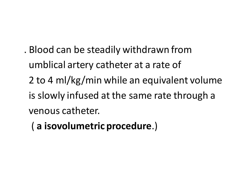- . Blood can be steadily withdrawn from umblical artery catheter at a rate of 2 to 4 ml/kg/min while an equivalent volume is slowly infused at the same rate through a venous catheter.
	- ( **a isovolumetric procedure**.)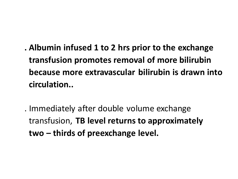- **. Albumin infused 1 to 2 hrs prior to the exchange transfusion promotes removal of more bilirubin because more extravascular bilirubin is drawn into circulation..**
- . Immediately after double volume exchange transfusion, **TB level returns to approximately two – thirds of preexchange level.**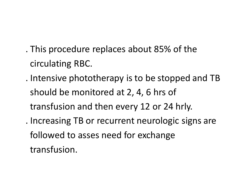- . This procedure replaces about 85% of the circulating RBC.
- . Intensive phototherapy is to be stopped and TB should be monitored at 2, 4, 6 hrs of transfusion and then every 12 or 24 hrly.
- . Increasing TB or recurrent neurologic signs are followed to asses need for exchange transfusion.